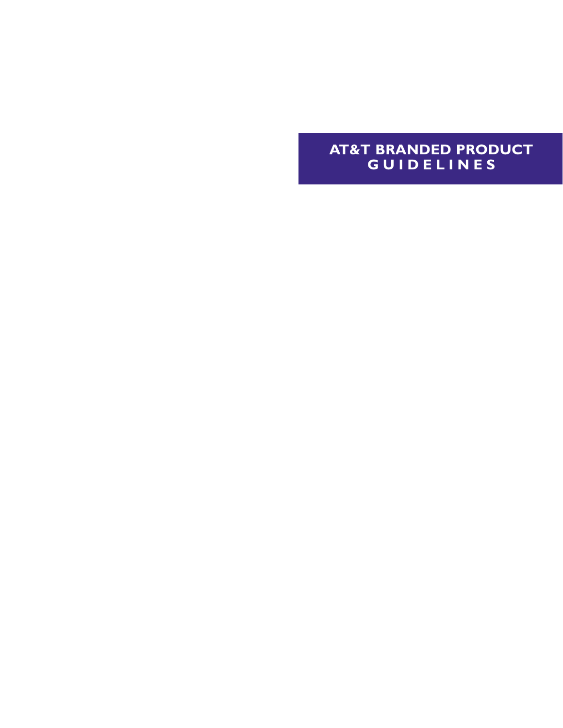# **AT&T BRANDED PRODUCT GUIDELINES**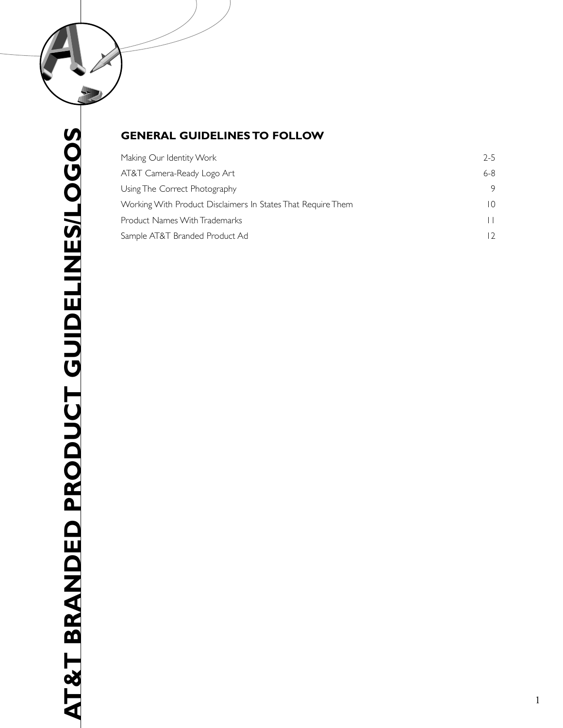

# **GENERAL GUIDELINES TO FOLLOW**

| Making Our Identity Work                                     | $2 - 5$         |
|--------------------------------------------------------------|-----------------|
| AT&T Camera-Ready Logo Art                                   | $6-8$           |
| Using The Correct Photography                                | 9               |
| Working With Product Disclaimers In States That Require Them | $\overline{10}$ |
| <b>Product Names With Trademarks</b>                         |                 |
| Sample AT&T Branded Product Ad                               |                 |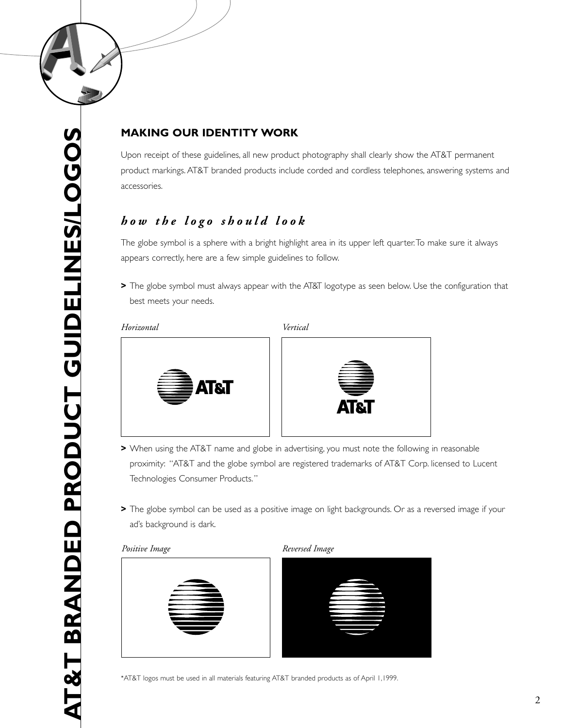

# **MAKING OUR IDENTITY WORK**

Upon receipt of these guidelines, all new product photography shall clearly show the AT&T permanent product markings. AT&T branded products include corded and cordless telephones, answering systems and accessories.

# *how the logo should look*

The globe symbol is a sphere with a bright highlight area in its upper left quarter.To make sure it always appears correctly, here are a few simple guidelines to follow.

**>** The globe symbol must always appear with the AT&T logotype as seen below. Use the configuration that best meets your needs.

### *Horizontal Vertical*





- **>** When using the AT&T name and globe in advertising, you must note the following in reasonable proximity: "AT&T and the globe symbol are registered trademarks of AT&T Corp. licensed to Lucent Technologies Consumer Products."
- **>** The globe symbol can be used as a positive image on light backgrounds. Or as a reversed image if your ad's background is dark.







\*AT&T logos must be used in all materials featuring AT&T branded products as of April 1,1999.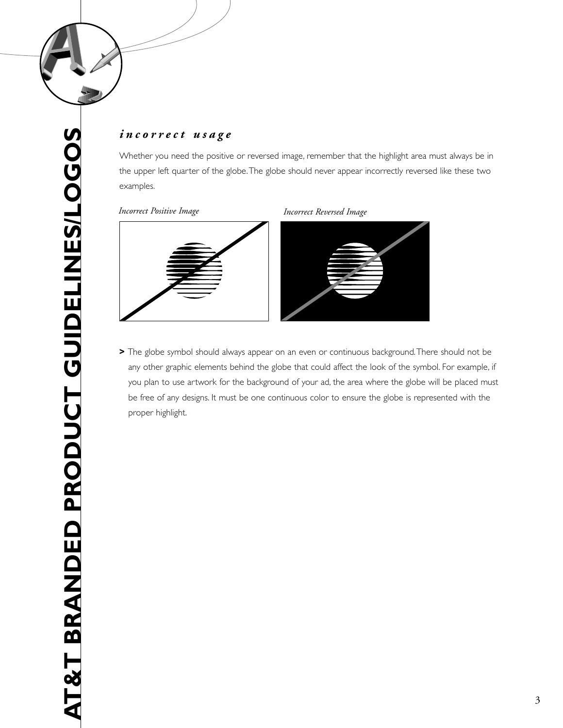

# *incorrect usage*

Whether you need the positive or reversed image, remember that the highlight area must always be in the upper left quarter of the globe.The globe should never appear incorrectly reversed like these two examples.

### *Incorrect Positive Image Incorrect Reversed Image*



**>** The globe symbol should always appear on an even or continuous background.There should not be any other graphic elements behind the globe that could affect the look of the symbol. For example, if you plan to use artwork for the background of your ad, the area where the globe will be placed must be free of any designs. It must be one continuous color to ensure the globe is represented with the proper highlight.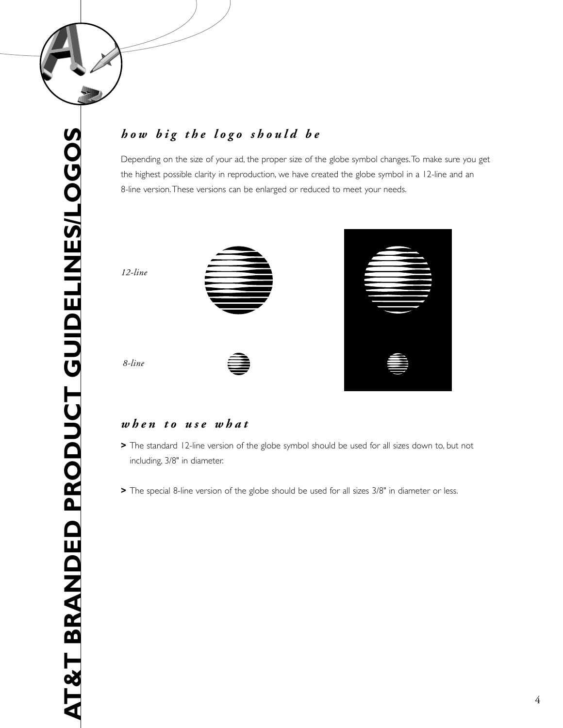

# *how big the logo should be*

Depending on the size of your ad, the proper size of the globe symbol changes.To make sure you get the highest possible clarity in reproduction, we have created the globe symbol in a 12-line and an 8-line version.These versions can be enlarged or reduced to meet your needs.





### *when to use what*

- **>** The standard 12-line version of the globe symbol should be used for all sizes down to, but not including, 3/8" in diameter.
- **>** The special 8-line version of the globe should be used for all sizes 3/8" in diameter or less.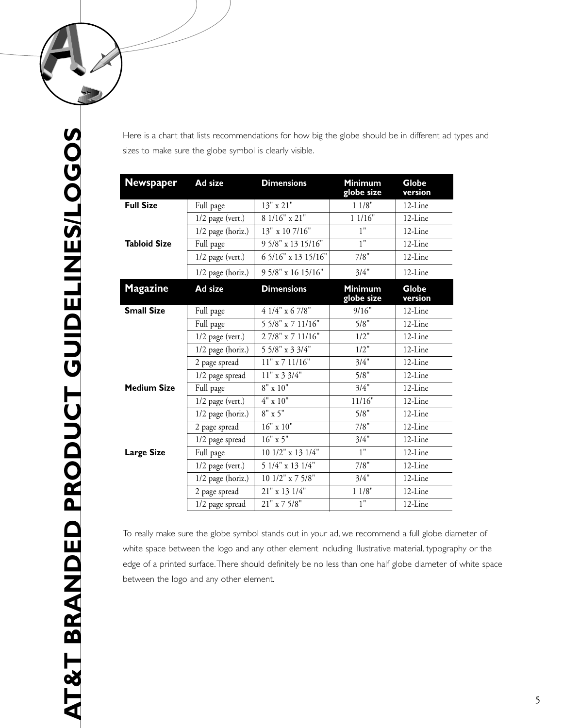

Here is a chart that lists recommendations for how big the globe should be in different ad types and sizes to make sure the globe symbol is clearly visible.

| <b>Newspaper</b>    | Ad size             | <b>Dimensions</b>     | <b>Minimum</b><br>globe size | <b>Globe</b><br>version |
|---------------------|---------------------|-----------------------|------------------------------|-------------------------|
| <b>Full Size</b>    | Full page           | 13" x 21"             | 11/8"                        | 12-Line                 |
|                     | $1/2$ page (vert.)  | 8 1/16" x 21"         | 11/16"                       | 12-Line                 |
|                     | 1/2 page (horiz.)   | 13" x 10 7/16"        | 1"                           | 12-Line                 |
| <b>Tabloid Size</b> | Full page           | 9 5/8" x 13 15/16"    | 1"                           | 12-Line                 |
|                     | $1/2$ page (vert.)  | 6 5/16" x 13 15/16"   | 7/8"                         | $12$ -Line              |
|                     | $1/2$ page (horiz.) | 9 5/8" x 16 15/16"    | 3/4"                         | 12-Line                 |
| <b>Magazine</b>     | Ad size             | <b>Dimensions</b>     | <b>Minimum</b><br>globe size | <b>Globe</b><br>version |
| <b>Small Size</b>   | Full page           | 4 1/4" x 6 7/8"       | 9/16"                        | 12-Line                 |
|                     | Full page           | 5 5/8" x 7 11/16"     | 5/8"                         | 12-Line                 |
|                     | $1/2$ page (vert.)  | 27/8" x 7 11/16"      | 1/2"                         | 12-Line                 |
|                     | 1/2 page (horiz.)   | 5 5/8" x 3 3/4"       | 1/2"                         | 12-Line                 |
|                     | 2 page spread       | $11"$ x 7 $11/16"$    | 3/4"                         | 12-Line                 |
|                     | 1/2 page spread     | $11"$ x 3 3/4"        | 5/8"                         | 12-Line                 |
| <b>Medium Size</b>  | Full page           | $8" \times 10"$       | 3/4"                         | 12-Line                 |
|                     | $1/2$ page (vert.)  | $4" \times 10"$       | 11/16"                       | 12-Line                 |
|                     | 1/2 page (horiz.)   | $8" \times 5"$        | 5/8"                         | 12-Line                 |
|                     | 2 page spread       | $16" \ge 10"$         | 7/8"                         | 12-Line                 |
|                     | 1/2 page spread     | $16"$ x 5"            | 3/4"                         | 12-Line                 |
| <b>Large Size</b>   | Full page           | 10 1/2" x 13 1/4"     | 1"                           | 12-Line                 |
|                     | $1/2$ page (vert.)  | 5 1/4" x 13 1/4"      | 7/8"                         | 12-Line                 |
|                     | 1/2 page (horiz.)   | 10 1/2" x 7 5/8"      | 3/4"                         | 12-Line                 |
|                     | 2 page spread       | 21" x 13 1/4"         | 11/8"                        | 12-Line                 |
|                     | 1/2 page spread     | $21" \times 7$ $5/8"$ | 1"                           | 12-Line                 |

To really make sure the globe symbol stands out in your ad, we recommend a full globe diameter of white space between the logo and any other element including illustrative material, typography or the edge of a printed surface.There should definitely be no less than one half globe diameter of white space between the logo and any other element.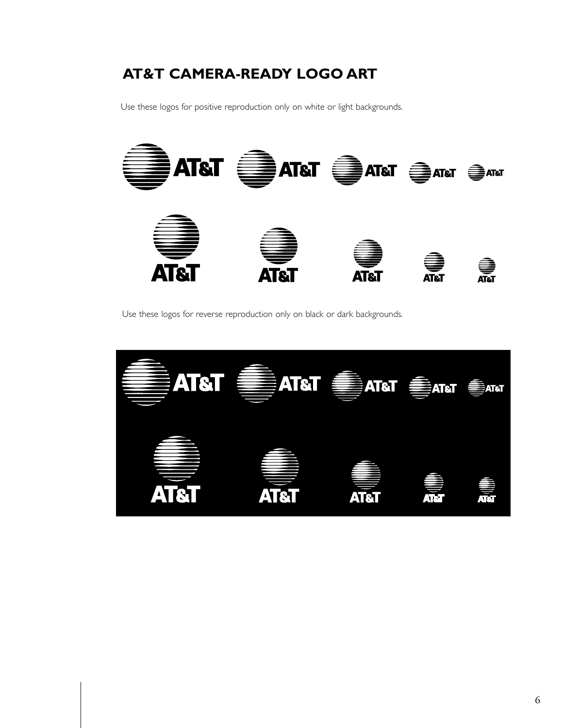# **AT&T CAMERA-READY LOGO ART**

Use these logos for positive reproduction only on white or light backgrounds.



Use these logos for reverse reproduction only on black or dark backgrounds.

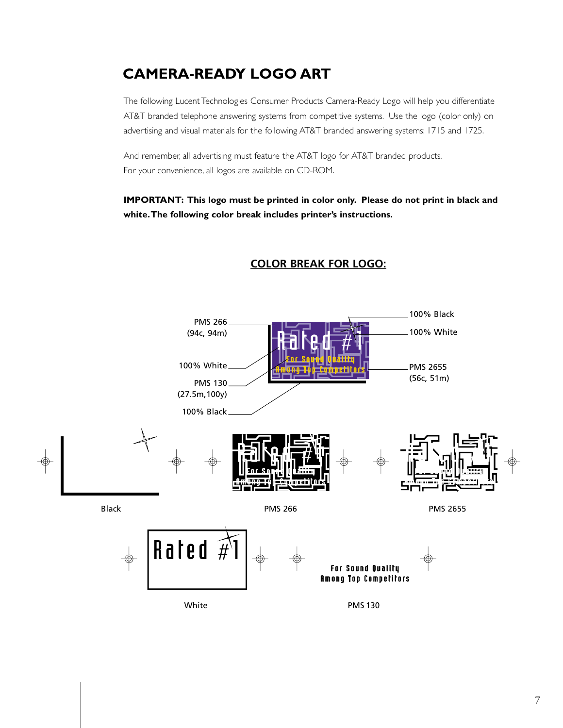# **CAMERA-READY LOGO ART**

The following Lucent Technologies Consumer Products Camera-Ready Logo will help you differentiate AT&T branded telephone answering systems from competitive systems. Use the logo (color only) on advertising and visual materials for the following AT&T branded answering systems: 1715 and 1725.

And remember, all advertising must feature the AT&T logo for AT&T branded products. For your convenience, all logos are available on CD-ROM.

**IMPORTANT: This logo must be printed in color only. Please do not print in black and white.The following color break includes printer's instructions.**



# **COLOR BREAK FOR LOGO:**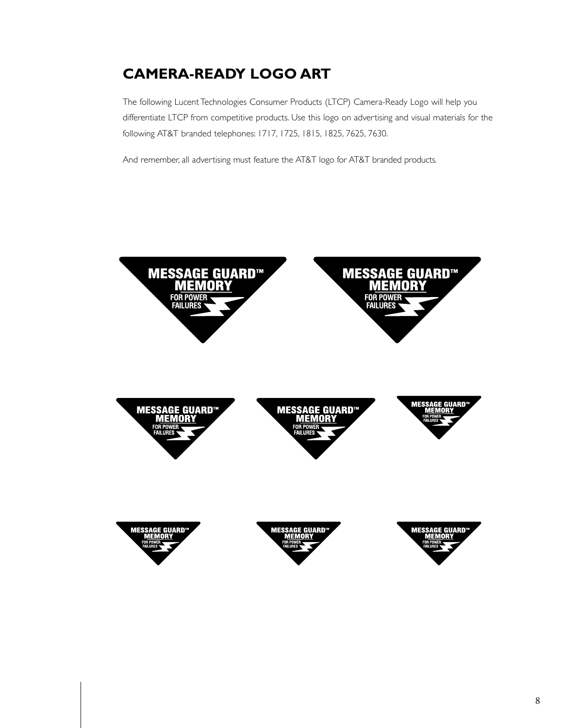# **CAMERA-READY LOGO ART**

The following Lucent Technologies Consumer Products (LTCP) Camera-Ready Logo will help you differentiate LTCP from competitive products. Use this logo on advertising and visual materials for the following AT&T branded telephones: 1717, 1725, 1815, 1825, 7625, 7630.

And remember, all advertising must feature the AT&T logo for AT&T branded products.

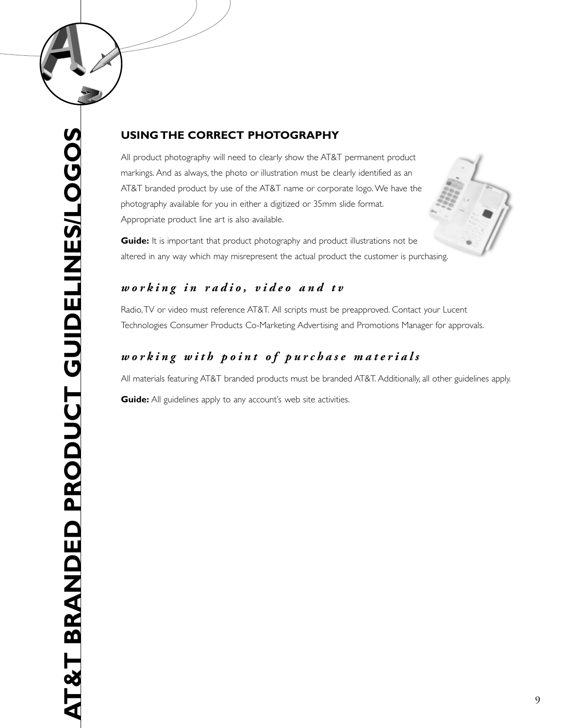

### **USING THE CORRECT PHOTOGRAPHY**

All product photography will need to clearly show the AT&T permanent product markings. And as always, the photo or illustration must be clearly identified as an AT&T branded product by use of the AT&T name or corporate logo. We have the photography available for you in either a digitized or 35mm slide format. Appropriate product line art is also available.

**Guide:** It is important that product photography and product illustrations not be altered in any way which may misrepresent the actual product the customer is purchasing.

# *working in radio, video and tv*

Radio,TV or video must reference AT&T. All scripts must be preapproved. Contact your Lucent Technologies Consumer Products Co-Marketing Advertising and Promotions Manager for approvals.

# *working with point of purchase materials*

All materials featuring AT&T branded products must be branded AT&T. Additionally, all other guidelines apply.

**Guide:** All guidelines apply to any account's web site activities.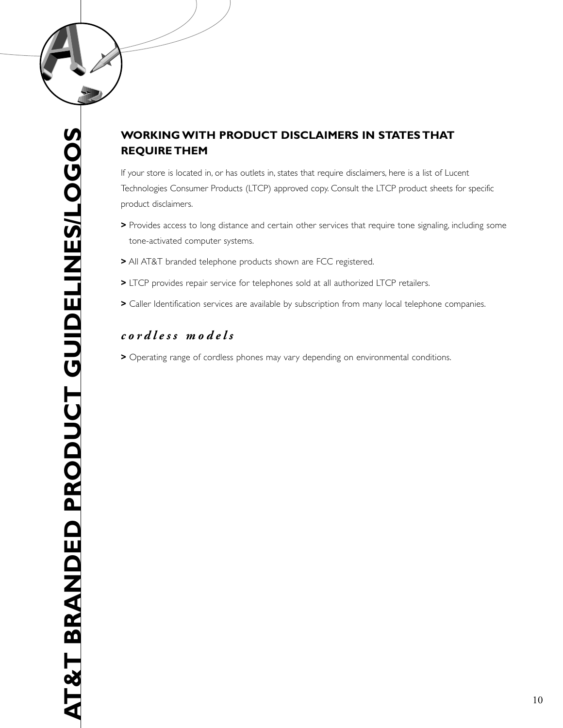

# **WORKING WITH PRODUCT DISCLAIMERS IN STATES THAT REQUIRE THEM**

If your store is located in, or has outlets in, states that require disclaimers, here is a list of Lucent Technologies Consumer Products (LTCP) approved copy. Consult the LTCP product sheets for specific product disclaimers.

- **>** Provides access to long distance and certain other services that require tone signaling, including some tone-activated computer systems.
- **>** All AT&T branded telephone products shown are FCC registered.
- **>** LTCP provides repair service for telephones sold at all authorized LTCP retailers.
- **>** Caller Identification services are available by subscription from many local telephone companies.

# *cordless models*

**>** Operating range of cordless phones may vary depending on environmental conditions.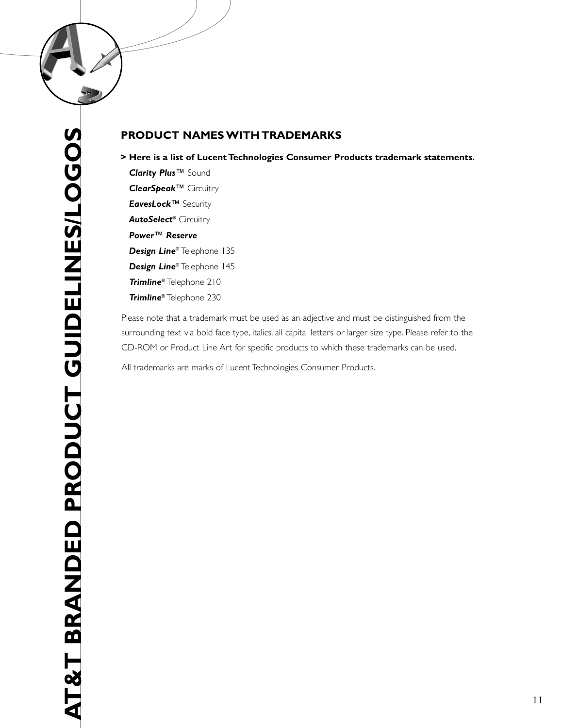

### **PRODUCT NAMES WITH TRADEMARKS**

### **> Here is a list of Lucent Technologies Consumer Products trademark statements.**

*Clarity Plus* ™ Sound *ClearSpeak* ™ Circuitry *EavesLock* ™ Security *AutoSelect* **®** Circuitry *Power* ™ *Reserve Design Line* **®** Telephone 135 *Design Line* **®** Telephone 145 *Trimline* **®** Telephone 210 *Trimline* **®** Telephone 230

Please note that a trademark must be used as an adjective and must be distinguished from the surrounding text via bold face type, italics, all capital letters or larger size type. Please refer to the CD-ROM or Product Line Art for specific products to which these trademarks can be used.

All trademarks are marks of Lucent Technologies Consumer Products.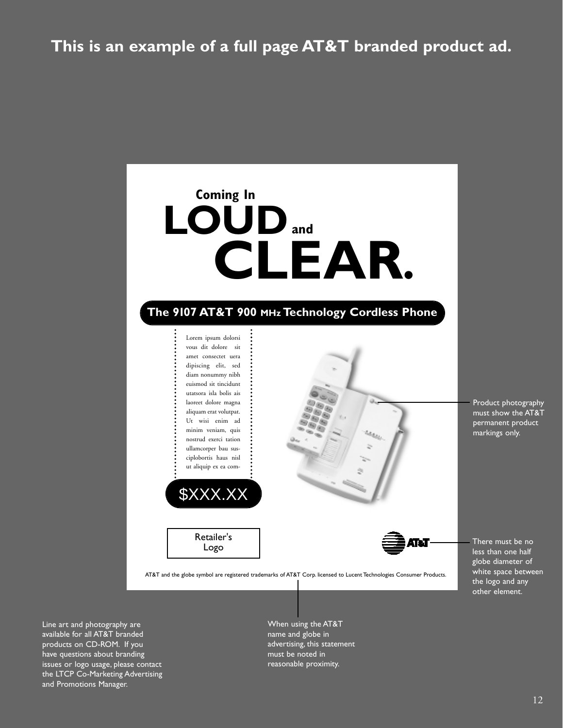# **This is an example of a full page AT&T branded product ad.**



Line art and photography are available for all AT&T branded products on CD-ROM. If you have questions about branding issues or logo usage, please contact the LTCP Co-Marketing Advertising and Promotions Manager.

When using the AT&T name and globe in advertising, this statement must be noted in reasonable proximity.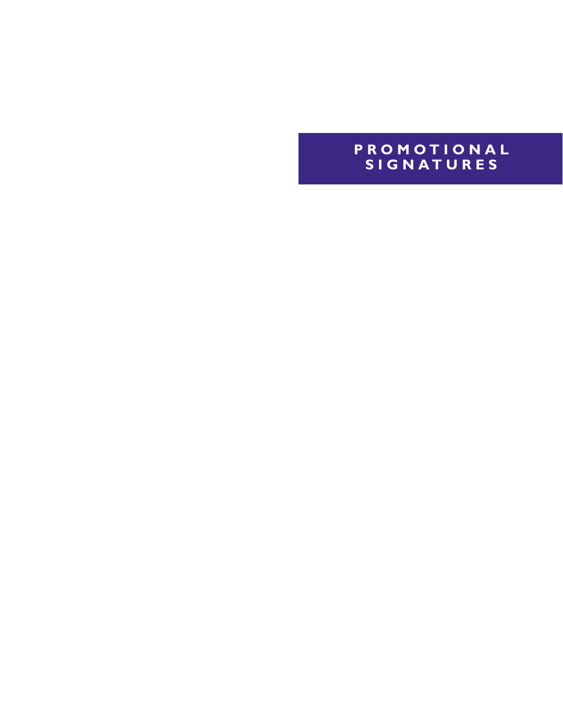# **PROMOTIONAL SIGNATURES**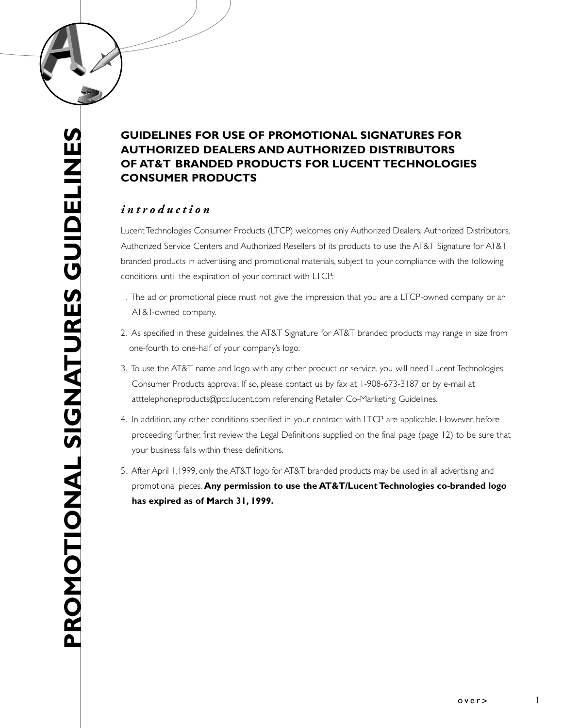# **GUIDELINES FOR USE OF PROMOTIONAL SIGNATURES FOR AUTHORIZED DEALERS AND AUTHORIZED DISTRIBUTORS OF AT&T BRANDED PRODUCTS FOR LUCENT TECHNOLOGIES CONSUMER PRODUCTS**

## *introduction*

Lucent Technologies Consumer Products (LTCP) welcomes only Authorized Dealers, Authorized Distributors, Authorized Service Centers and Authorized Resellers of its products to use the AT&T Signature for AT&T branded products in advertising and promotional materials, subject to your compliance with the following conditions until the expiration of your contract with LTCP:

- 1. The ad or promotional piece must not give the impression that you are a LTCP-owned company or an AT&T-owned company.
- 2. As specified in these guidelines, the AT&T Signature for AT&T branded products may range in size from one-fourth to one-half of your company's logo.
- 3. To use the AT&T name and logo with any other product or service, you will need Lucent Technologies Consumer Products approval. If so, please contact us by fax at 1-908-673-3187 or by e-mail at atttelephoneproducts@pcc.lucent.com referencing Retailer Co-Marketing Guidelines.
- 4. In addition, any other conditions specified in your contract with LTCP are applicable. However, before proceeding further, first review the Legal Definitions supplied on the final page (page 12) to be sure that your business falls within these definitions.
- 5. After April 1,1999, only the AT&T logo for AT&T branded products may be used in all advertising and promotional pieces. **Any permission to use the AT&T/Lucent Technologies co-branded logo has expired as of March 31, 1999.**

1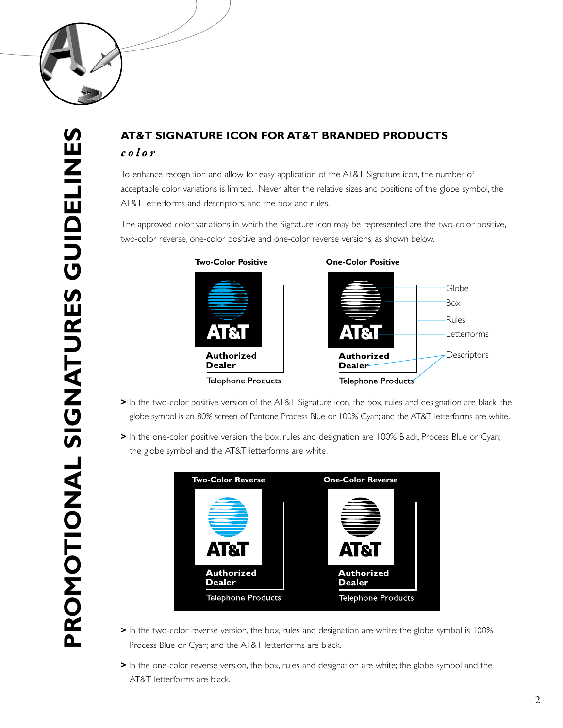

# **AT&T SIGNATURE ICON FOR AT&T BRANDED PRODUCTS** *color*

To enhance recognition and allow for easy application of the AT&T Signature icon, the number of acceptable color variations is limited. Never alter the relative sizes and positions of the globe symbol, the AT&T letterforms and descriptors, and the box and rules.

The approved color variations in which the Signature icon may be represented are the two-color positive, two-color reverse, one-color positive and one-color reverse versions, as shown below.

**Two-Color Positive One-Color Positive**



- **>** In the two-color positive version of the AT&T Signature icon, the box, rules and designation are black, the globe symbol is an 80% screen of Pantone Process Blue or 100% Cyan; and the AT&T letterforms are white.
- **>** In the one-color positive version, the box, rules and designation are 100% Black, Process Blue or Cyan; the globe symbol and the AT&T letterforms are white.



- **>** In the two-color reverse version, the box, rules and designation are white; the globe symbol is 100% Process Blue or Cyan; and the AT&T letterforms are black.
- **>** In the one-color reverse version, the box, rules and designation are white; the globe symbol and the AT&T letterforms are black.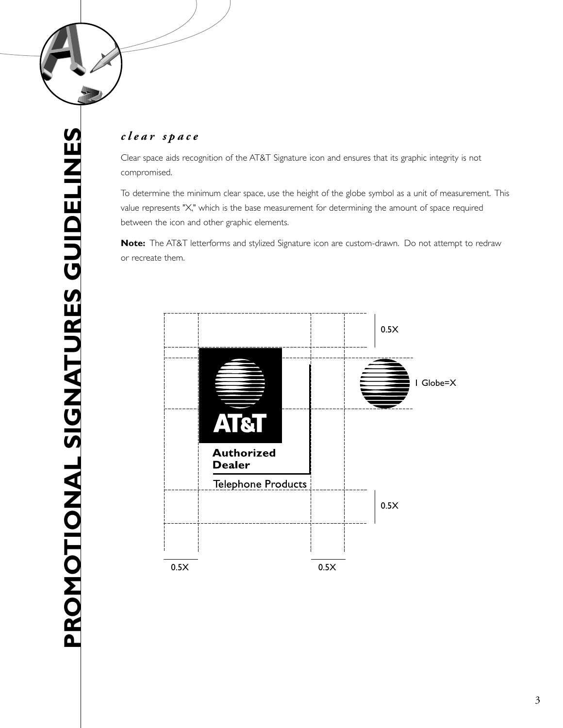

### *clear space*

Clear space aids recognition of the AT&T Signature icon and ensures that its graphic integrity is not compromised.

To determine the minimum clear space, use the height of the globe symbol as a unit of measurement. This value represents "X," which is the base measurement for determining the amount of space required between the icon and other graphic elements.

**Note:** The AT&T letterforms and stylized Signature icon are custom-drawn. Do not attempt to redraw or recreate them.

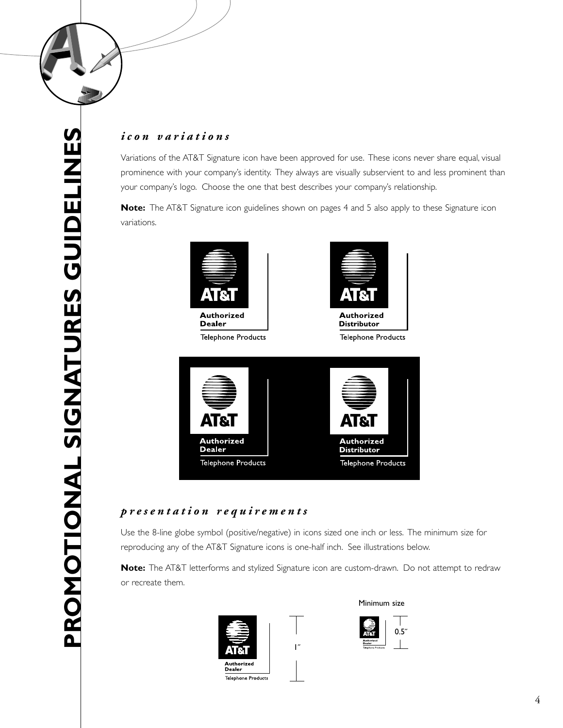

**PROMOTIONAL SIGNATURES GUIDELINES**

PROMOTIONAL SIGNATURES GUIDELINES

# *icon variations*

Variations of the AT&T Signature icon have been approved for use. These icons never share equal, visual prominence with your company's identity. They always are visually subservient to and less prominent than your company's logo. Choose the one that best describes your company's relationship.

**Note:** The AT&T Signature icon guidelines shown on pages 4 and 5 also apply to these Signature icon variations.



**Dealer Telephone Products** 





## *presentation requirements*

Use the 8-line globe symbol (positive/negative) in icons sized one inch or less. The minimum size for reproducing any of the AT&T Signature icons is one-half inch. See illustrations below.

**Note:** The AT&T letterforms and stylized Signature icon are custom-drawn. Do not attempt to redraw or recreate them.

1˝





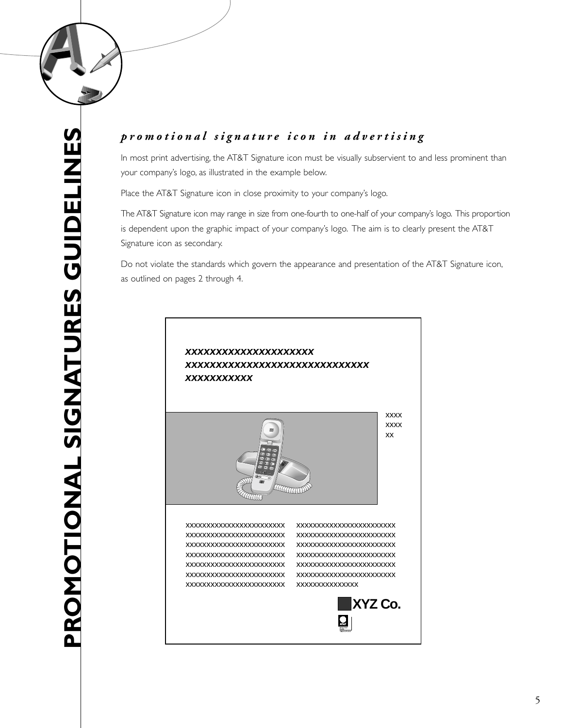

# *promotional signature icon in advertising*

In most print advertising, the AT&T Signature icon must be visually subservient to and less prominent than your company's logo, as illustrated in the example below.

Place the AT&T Signature icon in close proximity to your company's logo.

The AT&T Signature icon may range in size from one-fourth to one-half of your company's logo. This proportion is dependent upon the graphic impact of your company's logo. The aim is to clearly present the AT&T Signature icon as secondary.

Do not violate the standards which govern the appearance and presentation of the AT&T Signature icon, as outlined on pages 2 through 4.

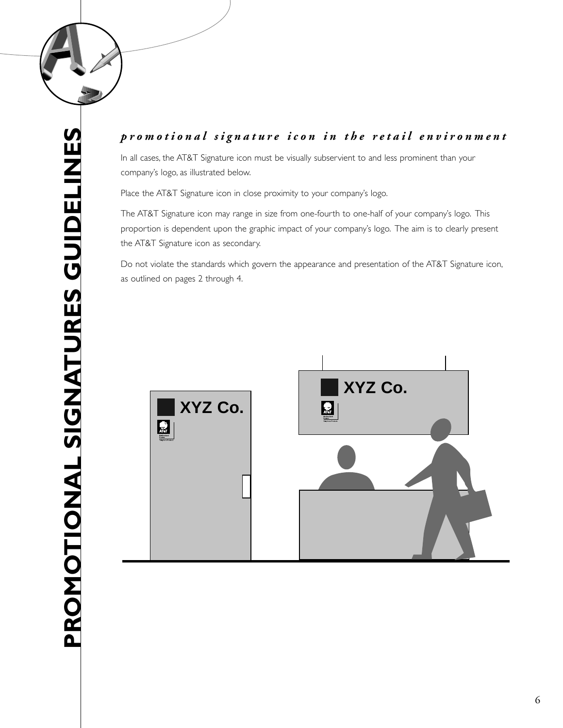

# PROMOTIONAL SIGNATURES GUIDELINES **PROMOTIONAL SIGNATURES GUIDELINES**

# *promotional signature icon in the retail environment*

In all cases, the AT&T Signature icon must be visually subservient to and less prominent than your company's logo, as illustrated below.

Place the AT&T Signature icon in close proximity to your company's logo.

The AT&T Signature icon may range in size from one-fourth to one-half of your company's logo. This proportion is dependent upon the graphic impact of your company's logo. The aim is to clearly present the AT&T Signature icon as secondary.

Do not violate the standards which govern the appearance and presentation of the AT&T Signature icon, as outlined on pages 2 through 4.

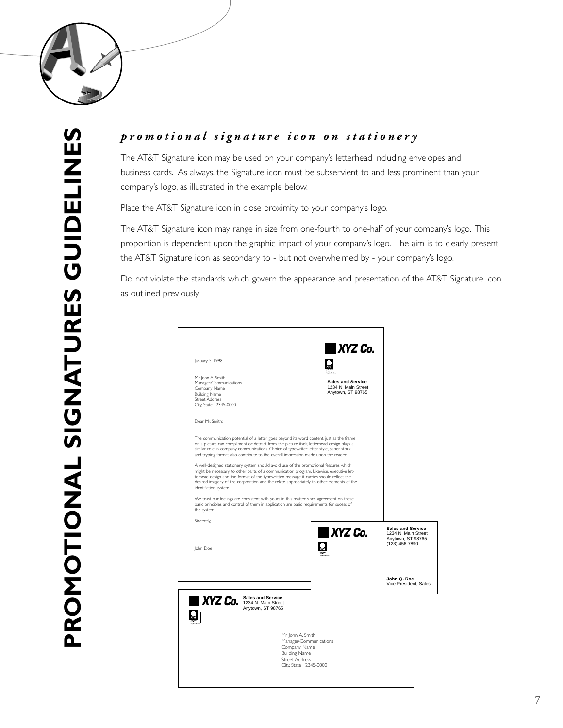

# *promotional signature icon on stationery*

The AT&T Signature icon may be used on your company's letterhead including envelopes and business cards. As always, the Signature icon must be subservient to and less prominent than your company's logo, as illustrated in the example below.

Place the AT&T Signature icon in close proximity to your company's logo.

The AT&T Signature icon may range in size from one-fourth to one-half of your company's logo. This proportion is dependent upon the graphic impact of your company's logo. The aim is to clearly present the AT&T Signature icon as secondary to - but not overwhelmed by - your company's logo.

Do not violate the standards which govern the appearance and presentation of the AT&T Signature icon, as outlined previously.

|                                                                                                                                                                                                                                                                                                                                                                                                                                                                                                                                                                                                                                                                                                                                                                       | <b>XYZ Co.</b>                                                                                           |
|-----------------------------------------------------------------------------------------------------------------------------------------------------------------------------------------------------------------------------------------------------------------------------------------------------------------------------------------------------------------------------------------------------------------------------------------------------------------------------------------------------------------------------------------------------------------------------------------------------------------------------------------------------------------------------------------------------------------------------------------------------------------------|----------------------------------------------------------------------------------------------------------|
| January 5, 1998                                                                                                                                                                                                                                                                                                                                                                                                                                                                                                                                                                                                                                                                                                                                                       |                                                                                                          |
| Mr. John A. Smith<br>Manager-Communications<br>Company Name<br><b>Building Name</b><br><b>Street Address</b><br>City, State 12345-0000                                                                                                                                                                                                                                                                                                                                                                                                                                                                                                                                                                                                                                | <b>Sales and Service</b><br>1234 N. Main Street<br>Anytown, ST 98765                                     |
| Dear Mr. Smith:                                                                                                                                                                                                                                                                                                                                                                                                                                                                                                                                                                                                                                                                                                                                                       |                                                                                                          |
| The communication potential of a letter goes beyond its word content. just as the frame<br>on a picture can compliment or detract from the picture itself, letterhead design plays a<br>similar role in company communications. Choice of typewriter letter style, paper stock<br>and tryping format also contribute to the overall impression made upon the reader.<br>A well-designed stationery system should avoid use of the promotional features which<br>might be necessary to other parts of a communication program. Likewise, executive let-<br>terhead design and the format of the typewritten message it carries should reflect the<br>desired imagery of the corporation and the relate appropriately to other elements of the<br>identifiation system. |                                                                                                          |
| We trust our feelings are consistent with yours in this matter since agreement on these<br>basic principles and control of them in application are basic requirements for sucess of<br>the system.                                                                                                                                                                                                                                                                                                                                                                                                                                                                                                                                                                    |                                                                                                          |
| Sincerely,<br>John Doe                                                                                                                                                                                                                                                                                                                                                                                                                                                                                                                                                                                                                                                                                                                                                | <b>Sales and Service</b><br><b>XYZ Co.</b><br>1234 N. Main Street<br>Anytown, ST 98765<br>(123) 456-7890 |
|                                                                                                                                                                                                                                                                                                                                                                                                                                                                                                                                                                                                                                                                                                                                                                       | John Q. Roe<br>Vice President, Sales                                                                     |
| <b>Sales and Service</b><br>XYZ Co. Sales and Service<br>Anytown, ST 98765                                                                                                                                                                                                                                                                                                                                                                                                                                                                                                                                                                                                                                                                                            |                                                                                                          |
|                                                                                                                                                                                                                                                                                                                                                                                                                                                                                                                                                                                                                                                                                                                                                                       |                                                                                                          |
|                                                                                                                                                                                                                                                                                                                                                                                                                                                                                                                                                                                                                                                                                                                                                                       | Mr. John A. Smith<br>Manager-Communications                                                              |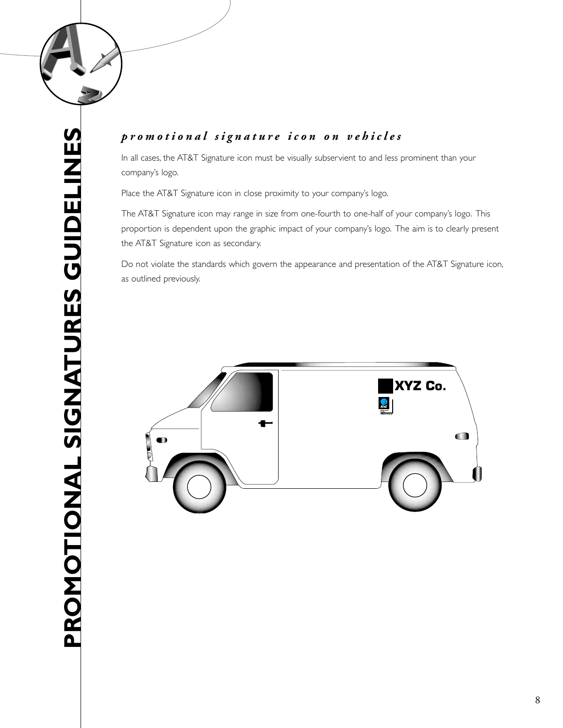

# PROMOTIONAL SIGNATURES GUIDELINES **PROMOTIONAL SIGNATURES GUIDELINES**

# *promotional signature icon on vehicles*

In all cases, the AT&T Signature icon must be visually subservient to and less prominent than your company's logo.

Place the AT&T Signature icon in close proximity to your company's logo.

The AT&T Signature icon may range in size from one-fourth to one-half of your company's logo. This proportion is dependent upon the graphic impact of your company's logo. The aim is to clearly present the AT&T Signature icon as secondary.

Do not violate the standards which govern the appearance and presentation of the AT&T Signature icon, as outlined previously.

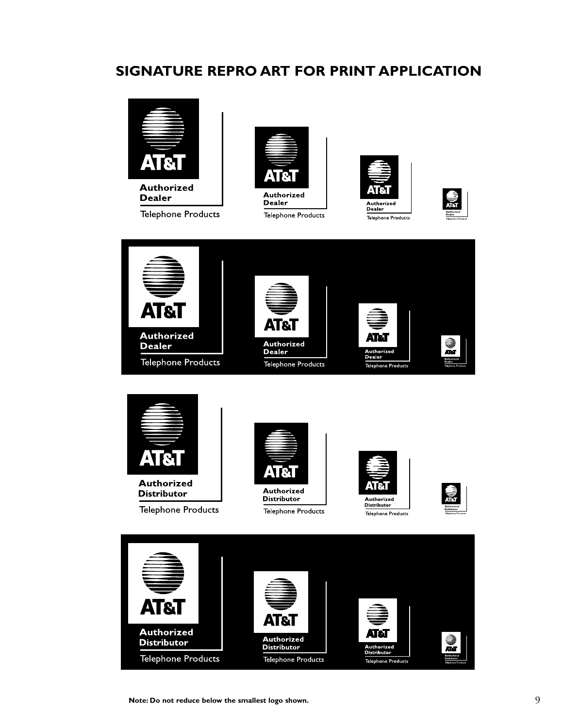# **SIGNATURE REPRO ART FOR PRINT APPLICATION**



**Dealer** 

**Telephone Products** 



**Telephone Products** 











**Telephone Products** 

Telephone Products

**Note: Do not reduce below the smallest logo shown.**

**Telephone Products**